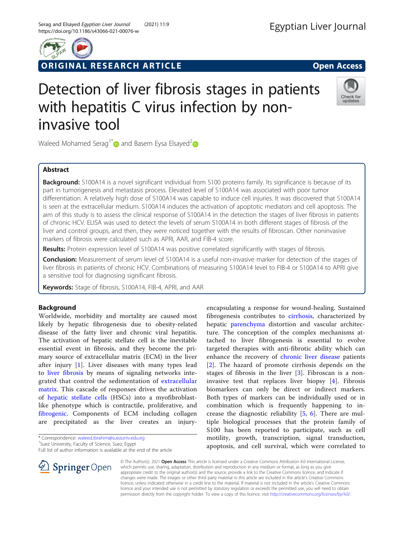

# ORIGINAL RESEARCH ARTICLE **External of the Contract Open Access**



# Detection of liver fibrosis stages in patients with hepatitis C virus infection by noninvasive tool



Waleed Mohamed Serag<sup>1\*</sup> and Basem Eysa Elsayed<sup>2</sup>

## Abstract

Background: S100A14 is a novel significant individual from S100 proteins family. Its significance is because of its part in tumorigenesis and metastasis process. Elevated level of S100A14 was associated with poor tumor differentiation. A relatively high dose of S100A14 was capable to induce cell injuries. It was discovered that S100A14 is seen at the extracellular medium. S100A14 induces the activation of apoptotic mediators and cell apoptosis. The aim of this study is to assess the clinical response of S100A14 in the detection the stages of liver fibrosis in patients of chronic HCV. ELISA was used to detect the levels of serum S100A14 in both different stages of fibrosis of the liver and control groups, and then, they were noticed together with the results of fibroscan. Other noninvasive markers of fibrosis were calculated such as APRI, AAR, and FIB-4 score.

Results: Protein expression level of S100A14 was positive correlated significantly with stages of fibrosis.

Conclusion: Measurement of serum level of S100A14 is a useful non-invasive marker for detection of the stages of liver fibrosis in patients of chronic HCV. Combinations of measuring S100A14 level to FIB-4 or S100A14 to APRI give a sensitive tool for diagnosing significant fibrosis.

Keywords: Stage of fibrosis, S100A14, FIB-4, APRI, and AAR

# Background

Worldwide, morbidity and mortality are caused most likely by hepatic fibrogenesis due to obesity-related disease of the fatty liver and chronic viral hepatitis. The activation of hepatic stellate cell is the inevitable essential event in fibrosis, and they become the primary source of extracellular matrix (ECM) in the liver after injury [[1](#page-5-0)]. Liver diseases with many types lead to [liver fibrosis](https://www.sciencedirect.com/topics/medicine-and-dentistry/liver-fibrosis) by means of signaling networks integrated that control the sedimentation of [extracellular](https://www.sciencedirect.com/topics/medicine-and-dentistry/extracellular-matrix) [matrix](https://www.sciencedirect.com/topics/medicine-and-dentistry/extracellular-matrix). This cascade of responses drives the activation of [hepatic stellate cells](https://www.sciencedirect.com/topics/medicine-and-dentistry/hepatic-stellate-cell) (HSCs) into a myofibroblastlike phenotype which is contractile, proliferative, and [fibrogenic](https://www.sciencedirect.com/topics/medicine-and-dentistry/fibrogenesis). Components of ECM including collagen are precipitated as the liver creates an injury-

Full list of author information is available at the end of the article



encapsulating a response for wound-healing. Sustained fibrogenesis contributes to [cirrhosis,](https://www.sciencedirect.com/topics/medicine-and-dentistry/liver-cirrhosis) characterized by hepatic [parenchyma](https://www.sciencedirect.com/topics/medicine-and-dentistry/liver-parenchyma) distortion and vascular architecture. The conception of the complex mechanisms attached to liver fibrogenesis is essential to evolve targeted therapies with anti-fibrotic ability which can enhance the recovery of [chronic liver disease](https://www.sciencedirect.com/topics/medicine-and-dentistry/chronic-liver-disease) patients [[2](#page-5-0)]. The hazard of promote cirrhosis depends on the stages of fibrosis in the liver  $[3]$  $[3]$ . Fibroscan is a noninvasive test that replaces liver biopsy [\[4](#page-5-0)]. Fibrosis biomarkers can only be direct or indirect markers. Both types of markers can be individually used or in combination which is frequently happening to increase the diagnostic reliability [[5,](#page-5-0) [6](#page-5-0)]. There are multiple biological processes that the protein family of S100 has been reported to participate, such as cell motility, growth, transcription, signal transduction, apoptosis, and cell survival, which were correlated to

© The Author(s). 2021 Open Access This article is licensed under a Creative Commons Attribution 4.0 International License, which permits use, sharing, adaptation, distribution and reproduction in any medium or format, as long as you give appropriate credit to the original author(s) and the source, provide a link to the Creative Commons licence, and indicate if changes were made. The images or other third party material in this article are included in the article's Creative Commons licence, unless indicated otherwise in a credit line to the material. If material is not included in the article's Creative Commons licence and your intended use is not permitted by statutory regulation or exceeds the permitted use, you will need to obtain permission directly from the copyright holder. To view a copy of this licence, visit <http://creativecommons.org/licenses/by/4.0/>.

<sup>\*</sup> Correspondence: [waleed.ibrahim@suezuniv.edu.eg](mailto:waleed.ibrahim@suezuniv.edu.eg) <sup>1</sup>

<sup>&</sup>lt;sup>1</sup>Suez University, Faculty of Science, Suez, Egypt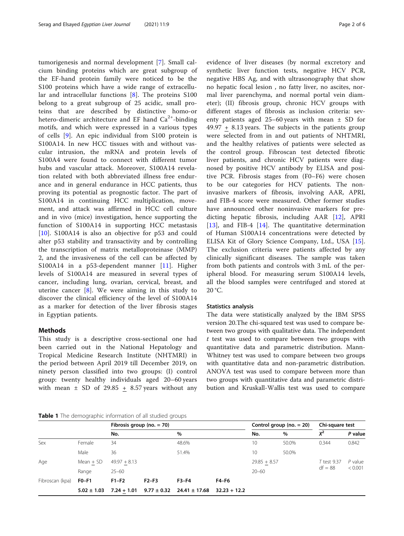<span id="page-1-0"></span>tumorigenesis and normal development [\[7](#page-5-0)]. Small calcium binding proteins which are great subgroup of the EF-hand protein family were noticed to be the S100 proteins which have a wide range of extracellular and intracellular functions [[8\]](#page-5-0). The proteins S100 belong to a great subgroup of 25 acidic, small proteins that are described by distinctive homo-or hetero-dimeric architecture and EF hand  $Ca^{2+}$ -binding motifs, and which were expressed in a various types of cells [[9\]](#page-5-0). An epic individual from S100 protein is S100A14. In new HCC tissues with and without vascular intrusion, the mRNA and protein levels of S100A4 were found to connect with different tumor hubs and vascular attack. Moreover, S100A14 revelation related with both abbreviated illness free endurance and in general endurance in HCC patients, thus proving its potential as prognostic factor. The part of S100A14 in continuing HCC multiplication, movement, and attack was affirmed in HCC cell culture and in vivo (mice) investigation, hence supporting the function of S100A14 in supporting HCC metastasis [[10\]](#page-5-0). S100A14 is also an objective for p53 and could alter p53 stability and transactivity and by controlling the transcription of matrix metalloproteinase (MMP) 2, and the invasiveness of the cell can be affected by S100A14 in a p53-dependent manner [\[11](#page-5-0)]. Higher levels of S100A14 are measured in several types of cancer, including lung, ovarian, cervical, breast, and uterine cancer [\[8](#page-5-0)]. We were aiming in this study to discover the clinical efficiency of the level of S100A14 as a marker for detection of the liver fibrosis stages in Egyptian patients.

## **Methods**

This study is a descriptive cross-sectional one had been carried out in the National Hepatology and Tropical Medicine Research Institute (NHTMRI) in the period between April 2019 till December 2019, on ninety person classified into two groups: (I) control group: twenty healthy individuals aged 20–60 years with mean  $\pm$  SD of 29.85 + 8.57 years without any

Table 1 The demographic information of all studied groups

evidence of liver diseases (by normal excretory and synthetic liver function tests, negative HCV PCR, negative HBS Ag, and with ultrasonography that show no hepatic focal lesion , no fatty liver, no ascites, normal liver parenchyma, and normal portal vein diameter); (II) fibrosis group, chronic HCV groups with different stages of fibrosis as inclusion criteria: seventy patients aged 25–60 years with mean  $\pm$  SD for 49.97 + 8.13 years. The subjects in the patients group were selected from in and out patients of NHTMRI, and the healthy relatives of patients were selected as the control group. Fibroscan test detected fibrotic liver patients, and chronic HCV patients were diagnosed by positive HCV antibody by ELISA and positive PCR. Fibrosis stages from (F0–F6) were chosen to be our categories for HCV patients. The noninvasive markers of fibrosis, involving AAR, APRI, and FIB-4 score were measured. Other former studies have announced other noninvasive markers for predicting hepatic fibrosis, including AAR [[12\]](#page-5-0), APRI [[13\]](#page-5-0), and FIB-4 [[14\]](#page-5-0). The quantitative determination of Human S100A14 concentrations were detected by ELISA Kit of Glory Science Company, Ltd., USA [\[15](#page-5-0)]. The exclusion criteria were patients affected by any clinically significant diseases. The sample was taken from both patients and controls with 3 mL of the peripheral blood. For measuring serum S100A14 levels, all the blood samples were centrifuged and stored at 20 °C.

#### Statistics analysis

The data were statistically analyzed by the IBM SPSS version 20.The chi-squared test was used to compare between two groups with qualitative data. The independent  $t$  test was used to compare between two groups with quantitative data and parametric distribution. Mann-Whitney test was used to compare between two groups with quantitative data and non-parametric distribution. ANOVA test was used to compare between more than two groups with quantitative data and parametric distribution and Kruskall-Wallis test was used to compare

|                 |                 |                | Fibrosis group (no. $= 70$ ) |                   |                |                | Control group (no. $= 20$ ) | Chi-square test |                      |
|-----------------|-----------------|----------------|------------------------------|-------------------|----------------|----------------|-----------------------------|-----------------|----------------------|
|                 |                 | No.            |                              | $\%$              |                | No.            | %                           | $X^2$           | P value              |
| Sex             | Female          | 34             |                              | 48.6%             |                | 10             | 50.0%                       | 0.344           | 0.842                |
|                 | Male            | 36             |                              | 51.4%             |                | 10             | 50.0%                       |                 |                      |
| Age             | $Mean + SD$     | $49.97 + 8.13$ |                              |                   |                | $29.85 + 8.57$ |                             | T test 9.37     | $P$ value<br>< 0.001 |
|                 | Range           | $25 - 60$      |                              |                   |                | $20 - 60$      |                             | $df = 88$       |                      |
| Fibroscan (kpa) | $F0-F1$         | $F1-F2$        | $F2-F3$                      | $F3-F4$           | <b>F4-F6</b>   |                |                             |                 |                      |
|                 | $5.02 \pm 1.03$ | $7.24 + 1.01$  | $9.77 \pm 0.32$              | $24.41 \pm 17.68$ | $32.23 + 12.2$ |                |                             |                 |                      |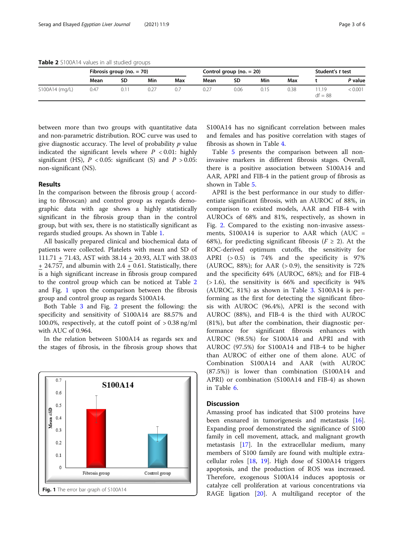Table 2 S100A14 values in all studied groups

|                | Fibrosis group (no. $= 70$ ) |    |     |     | Control group (no. $= 20$ ) |      |      |      | Student's t test  |         |
|----------------|------------------------------|----|-----|-----|-----------------------------|------|------|------|-------------------|---------|
|                | Mean                         | SD | Min | Max | Mean                        | SD   | Min  | Max  |                   | P value |
| S100A14 (mg/L) | 0.47                         |    |     |     |                             | 0.06 | 0.15 | 0.38 | 1.19<br>$df = 88$ | < 0.001 |

between more than two groups with quantitative data and non-parametric distribution. ROC curve was used to give diagnostic accuracy. The level of probability  $p$  value indicated the significant levels where  $P < 0.01$ : highly significant (HS),  $P < 0.05$ : significant (S) and  $P > 0.05$ : non-significant (NS).

### Results

In the comparison between the fibrosis group ( according to fibroscan) and control group as regards demographic data with age shows a highly statistically significant in the fibrosis group than in the control group, but with sex, there is no statistically significant as regards studied groups. As shown in Table [1.](#page-1-0)

All basically prepared clinical and biochemical data of patients were collected. Platelets with mean and SD of 111.71 + 71.43, AST with 38.14 + 20.93, ALT with 38.03  $+ 24.757$ , and albumin with  $2.4 + 0.61$ . Statistically, there is a high significant increase in fibrosis group compared to the control group which can be noticed at Table 2 and Fig. 1 upon the comparison between the fibrosis group and control group as regards S100A14.

Both Table [3](#page-3-0) and Fig. [2](#page-3-0) present the following: the specificity and sensitivity of S100A14 are 88.57% and 100.0%, respectively, at the cutoff point of > 0.38 ng/ml with AUC of 0.964.

In the relation between S100A14 as regards sex and the stages of fibrosis, in the fibrosis group shows that



S100A14 has no significant correlation between males and females and has positive correlation with stages of fibrosis as shown in Table [4](#page-3-0).

Table [5](#page-4-0) presents the comparison between all noninvasive markers in different fibrosis stages. Overall, there is a positive association between S100A14 and AAR, APRI and FIB-4 in the patient group of fibrosis as shown in Table [5.](#page-4-0)

APRI is the best performance in our study to differentiate significant fibrosis, with an AUROC of 88%, in comparison to existed models, AAR and FIB-4 with AUROCs of 68% and 81%, respectively, as shown in Fig. [2](#page-3-0). Compared to the existing non-invasive assessments,  $S100A14$  is superior to AAR which (AUC = 68%), for predicting significant fibrosis ( $F \ge 2$ ). At the ROC-derived optimum cutoffs, the sensitivity for APRI (> 0.5) is 74% and the specificity is 97% (AUROC, 88%); for AAR  $(> 0.9)$ , the sensitivity is 72% and the specificity 64% (AUROC, 68%); and for FIB-4  $(>1.6)$ , the sensitivity is 66% and specificity is 94% (AUROC, 81%) as shown in Table [3.](#page-3-0) S100A14 is performing as the first for detecting the significant fibrosis with AUROC (96.4%), APRI is the second with AUROC (88%), and FIB-4 is the third with AUROC (81%), but after the combination, their diagnostic performance for significant fibrosis enhances with AUROC (98.5%) for S100A14 and APRI and with AUROC (97.5%) for S100A14 and FIB-4 to be higher than AUROC of either one of them alone. AUC of Combination S100A14 and AAR (with AUROC (87.5%)) is lower than combination (S100A14 and APRI) or combination (S100A14 and FIB-4) as shown in Table [6](#page-4-0).

## **Discussion**

Amassing proof has indicated that S100 proteins have been ensnared in tumorigenesis and metastasis [\[16](#page-5-0)]. Expanding proof demonstrated the significance of S100 family in cell movement, attack, and malignant growth metastasis [[17\]](#page-5-0). In the extracellular medium, many members of S100 family are found with multiple extracellular roles [\[18](#page-5-0), [19](#page-5-0)]. High dose of S100A14 triggers apoptosis, and the production of ROS was increased. Therefore, exogenous S100A14 induces apoptosis or catalyze cell proliferation at various concentrations via RAGE ligation [[20](#page-5-0)]. A multiligand receptor of the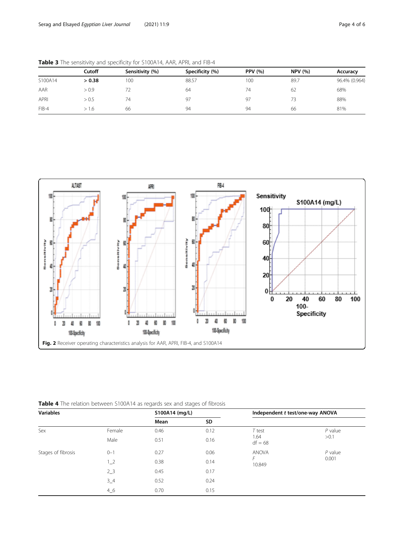|         | Cutoff | Sensitivity (%) | Specificity (%) | <b>PPV</b> (%) | <b>NPV (%)</b> | Accuracy      |
|---------|--------|-----------------|-----------------|----------------|----------------|---------------|
| S100A14 | > 0.38 | 00              | 88.57           | 100            | 89.7           | 96.4% (0.964) |
| AAR     | > 0.9  |                 | 64              | 74             | 62             | 68%           |
| APRI    | > 0.5  | 74              | 97              | 97             | 73             | 88%           |
| $FIB-4$ | > 1.6  | 66              | 94              | 94             | 66             | 81%           |

<span id="page-3-0"></span>Table 3 The sensitivity and specificity for S100A14, AAR, APRI, and FIB-4



Table 4 The relation between S100A14 as regards sex and stages of fibrosis

| <b>Variables</b>   |          |      | S100A14 (mg/L) |                   | Independent t test/one-way ANOVA |
|--------------------|----------|------|----------------|-------------------|----------------------------------|
|                    |          | Mean | SD             |                   |                                  |
| Sex                | Female   | 0.46 | 0.12           | $T$ test          | $P$ value                        |
|                    | Male     | 0.51 | 0.16           | 1.64<br>$df = 68$ | >0.1                             |
| Stages of fibrosis | $0 - 1$  | 0.27 | 0.06           | <b>ANOVA</b>      | $P$ value                        |
|                    | $1_{-2}$ | 0.38 | 0.14           | F<br>10.849       | 0.001                            |
|                    | $2_{-}3$ | 0.45 | 0.17           |                   |                                  |
|                    | $3 - 4$  | 0.52 | 0.24           |                   |                                  |
|                    | 46       | 0.70 | 0.15           |                   |                                  |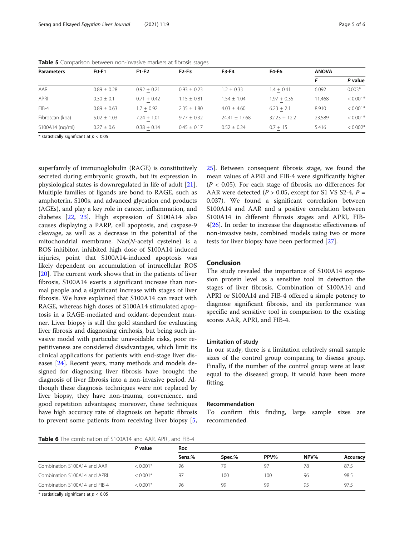| <b>Parameters</b> | <b>FO-F1</b>    | $F1-F2$       | $F2-F3$         | F3-F4             | F4-F6          | <b>ANOVA</b> |            |
|-------------------|-----------------|---------------|-----------------|-------------------|----------------|--------------|------------|
|                   |                 |               |                 |                   |                |              | P value    |
| AAR               | $0.89 \pm 0.28$ | $0.92 + 0.21$ | $0.93 \pm 0.23$ | $1.2 \pm 0.33$    | $1.4 + 0.41$   | 6.092        | $0.003*$   |
| APRI              | $0.30 + 0.1$    | $0.71 + 0.42$ | $1.15 + 0.81$   | $1.54 + 1.04$     | $1.97 + 0.35$  | 11.468       | $< 0.001*$ |
| $FIB-4$           | $0.89 \pm 0.63$ | $1.7 + 0.92$  | $2.35 \pm 1.80$ | $4.03 + 4.60$     | $6.23 + 2.1$   | 8.910        | $< 0.001*$ |
| Fibroscan (kpa)   | $5.02 \pm 1.03$ | $7.24 + 1.01$ | $9.77 \pm 0.32$ | $24.41 \pm 17.68$ | $32.23 + 12.2$ | 23.589       | $< 0.001*$ |
| S100A14 (ng/ml)   | $0.27 \pm 0.6$  | $0.38 + 0.14$ | $0.45 \pm 0.17$ | $0.52 + 0.24$     | $0.7 + 15$     | 5.416        | $< 0.002*$ |

<span id="page-4-0"></span>Table 5 Comparison between non-invasive markers at fibrosis stages

 $*$  statistically significant at  $p < 0.05$ 

superfamily of immunoglobulin (RAGE) is constitutively secreted during embryonic growth, but its expression in physiological states is downregulated in life of adult [\[21](#page-5-0)]. Multiple families of ligands are bond to RAGE, such as amphoterin, S100s, and advanced glycation end products (AGEs), and play a key role in cancer, inflammation, and diabetes [[22](#page-5-0), [23](#page-5-0)]. High expression of S100A14 also causes displaying a PARP, cell apoptosis, and caspase-9 cleavage, as well as a decrease in the potential of the mitochondrial membrane. Nac(N-acetyl cysteine) is a ROS inhibitor, inhibited high dose of S100A14 induced injuries, point that S100A14-induced apoptosis was likely dependent on accumulation of intracellular ROS [[20\]](#page-5-0). The current work shows that in the patients of liver fibrosis, S100A14 exerts a significant increase than normal people and a significant increase with stages of liver fibrosis. We have explained that S100A14 can react with RAGE, whereas high doses of S100A14 stimulated apoptosis in a RAGE-mediated and oxidant-dependent manner. Liver biopsy is still the gold standard for evaluating liver fibrosis and diagnosing cirrhosis, but being such invasive model with particular unavoidable risks, poor repetitiveness are considered disadvantages, which limit its clinical applications for patients with end-stage liver diseases [\[24](#page-5-0)]. Recent years, many methods and models designed for diagnosing liver fibrosis have brought the diagnosis of liver fibrosis into a non-invasive period. Although these diagnosis techniques were not replaced by liver biopsy, they have non-trauma, convenience, and good repetition advantages; moreover, these techniques have high accuracy rate of diagnosis on hepatic fibrosis to prevent some patients from receiving liver biopsy [\[5](#page-5-0),

[25\]](#page-5-0). Between consequent fibrosis stage, we found the mean values of APRI and FIB-4 were significantly higher  $(P < 0.05)$ . For each stage of fibrosis, no differences for AAR were detected ( $P > 0.05$ , except for S1 VS S2-4,  $P =$ 0.037). We found a significant correlation between S100A14 and AAR and a positive correlation between S100A14 in different fibrosis stages and APRI, FIB-4[[26\]](#page-5-0). In order to increase the diagnostic effectiveness of non-invasive tests, combined models using two or more tests for liver biopsy have been performed [[27\]](#page-5-0).

### Conclusion

The study revealed the importance of S100A14 expression protein level as a sensitive tool in detection the stages of liver fibrosis. Combination of S100A14 and APRI or S100A14 and FIB-4 offered a simple potency to diagnose significant fibrosis, and its performance was specific and sensitive tool in comparison to the existing scores AAR, APRI, and FIB-4.

#### Limitation of study

In our study, there is a limitation relatively small sample sizes of the control group comparing to disease group. Finally, if the number of the control group were at least equal to the diseased group, it would have been more fitting.

#### Recommendation

To confirm this finding, large sample sizes are recommended.

Table 6 The combination of S100A14 and AAR, APRI, and FIB-4

|                               | P value    | Roc    |        |      |      |          |  |  |
|-------------------------------|------------|--------|--------|------|------|----------|--|--|
|                               |            | Sens.% | Spec.% | PPV% | NPV% | Accuracy |  |  |
| Combination S100A14 and AAR   | $< 0.001*$ | 96     | 79     | 97   | 78   | 87.5     |  |  |
| Combination S100A14 and APRI  | $< 0.001*$ | 97     | 100    | 100  | 96   | 98.5     |  |  |
| Combination S100A14 and FIB-4 | $< 0.001*$ | 96     | 99     | 99   | 95   | 97.5     |  |  |

 $*$  statistically significant at  $p < 0.05$